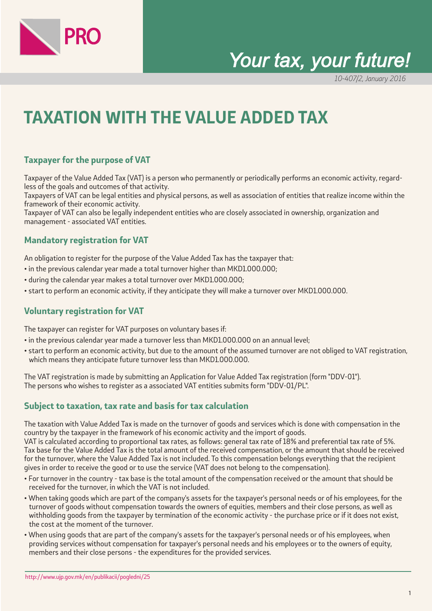

# *Your tax, your future!*

10-407/2, January 2016

# **TAXATION WITH THE VALUE ADDED TAX**

# **Taxpayer for the purpose of VAT**

Taxpayer of the Value Added Tax (VAT) is a person who permanently or periodically performs an economic activity, regardless of the goals and outcomes of that activity.

Taxpayers of VAT can be legal entities and physical persons, as well as association of entities that realize income within the framework of their economic activity.

Taxpayer of VAT can also be legally independent entities who are closely associated in ownership, organization and management - associated VAT entities.

#### **Mandatory registration for VAT**

An obligation to register for the purpose of the Value Added Tax has the taxpayer that:

- in the previous calendar year made a total turnover higher than MKD1.000.000;
- during the calendar year makes a total turnover over MKD1.000.000;
- start to perform an economic activity, if they anticipate they will make a turnover over MKD1.000.000.

### **Voluntary registration for VAT**

The taxpayer can register for VAT purposes on voluntary bases if:

- in the previous calendar year made a turnover less than MKD1.000.000 on an annual level;
- start to perform an economic activity, but due to the amount of the assumed turnover are not obliged to VAT registration, which means they anticipate future turnover less than MKD1.000.000.

The VAT registration is made by submitting an Application for Value Added Tax registration (form "DDV-01"). The persons who wishes to register as a associated VAT entities submits form "DDV-01/PL".

### **Subject to taxation, tax rate and basis for tax calculation**

The taxation with Value Added Tax is made on the turnover of goods and services which is done with compensation in the country by the taxpayer in the framework of his economic activity and the import of goods. VAT is calculated according to proportional tax rates, as follows: general tax rate of 18% and preferential tax rate of 5%. Tax base for the Value Added Tax is the total amount of the received compensation, or the amount that should be received for the turnover, where the Value Added Tax is not included. To this compensation belongs everything that the recipient gives in order to receive the good or to use the service (VAT does not belong to the compensation).

- For turnover in the country tax base is the total amount of the compensation received or the amount that should be received for the turnover, in which the VAT is not included.
- When taking goods which are part of the company's assets for the taxpayer's personal needs or of his employees, for the turnover of goods without compensation towards the owners of equities, members and their close persons, as well as withholding goods from the taxpayer by termination of the economic activity - the purchase price or if it does not exist, the cost at the moment of the turnover.
- When using goods that are part of the company's assets for the taxpayer's personal needs or of his employees, when providing services without compensation for taxpayer's personal needs and his employees or to the owners of equity, members and their close persons - the expenditures for the provided services.